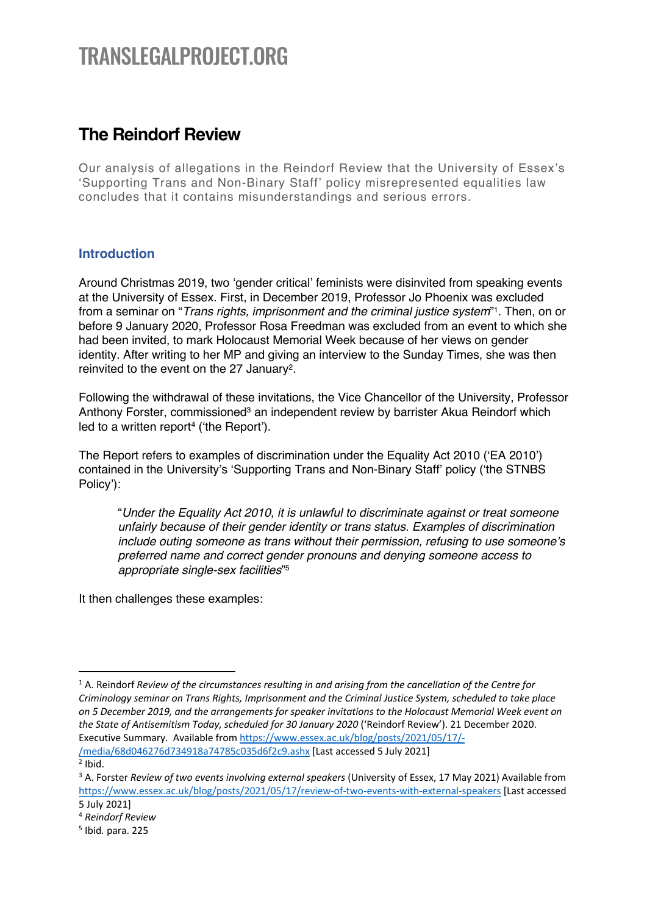# TRANSLEGALPROJECT.ORG

# **The Reindorf Review**

Our analysis of allegations in the Reindorf Review that the University of Essex's 'Supporting Trans and Non-Binary Staff' policy misrepresented equalities law concludes that it contains misunderstandings and serious errors.

# **Introduction**

Around Christmas 2019, two 'gender critical' feminists were disinvited from speaking events at the University of Essex. First, in December 2019, Professor Jo Phoenix was excluded from a seminar on "*Trans rights, imprisonment and the criminal justice system*"1. Then, on or before 9 January 2020, Professor Rosa Freedman was excluded from an event to which she had been invited, to mark Holocaust Memorial Week because of her views on gender identity. After writing to her MP and giving an interview to the Sunday Times, she was then reinvited to the event on the 27 January2.

Following the withdrawal of these invitations, the Vice Chancellor of the University, Professor Anthony Forster, commissioned<sup>3</sup> an independent review by barrister Akua Reindorf which led to a written report<sup>4</sup> ('the Report').

The Report refers to examples of discrimination under the Equality Act 2010 ('EA 2010') contained in the University's 'Supporting Trans and Non-Binary Staff' policy ('the STNBS Policy'):

"*Under the Equality Act 2010, it is unlawful to discriminate against or treat someone unfairly because of their gender identity or trans status. Examples of discrimination include outing someone as trans without their permission, refusing to use someone's preferred name and correct gender pronouns and denying someone access to appropriate single-sex facilities*"5

It then challenges these examples:

<sup>1</sup> A. Reindorf *Review of the circumstances resulting in and arising from the cancellation of the Centre for Criminology seminar on Trans Rights, Imprisonment and the Criminal Justice System, scheduled to take place on 5 December 2019, and the arrangements for speaker invitations to the Holocaust Memorial Week event on the State of Antisemitism Today, scheduled for 30 January 2020* ('Reindorf Review'). 21 December 2020. Executive Summary. Available from https://www.essex.ac.uk/blog/posts/2021/05/17/- /media/68d046276d734918a74785c035d6f2c9.ashx [Last accessed 5 July 2021]  $<sup>2</sup>$  Ibid.</sup>

<sup>3</sup> A. Forster *Review of two events involving external speakers* (University of Essex, 17 May 2021) Available from https://www.essex.ac.uk/blog/posts/2021/05/17/review-of-two-events-with-external-speakers [Last accessed 5 July 2021]

<sup>4</sup> *Reindorf Review*

<sup>5</sup> Ibid*.* para. 225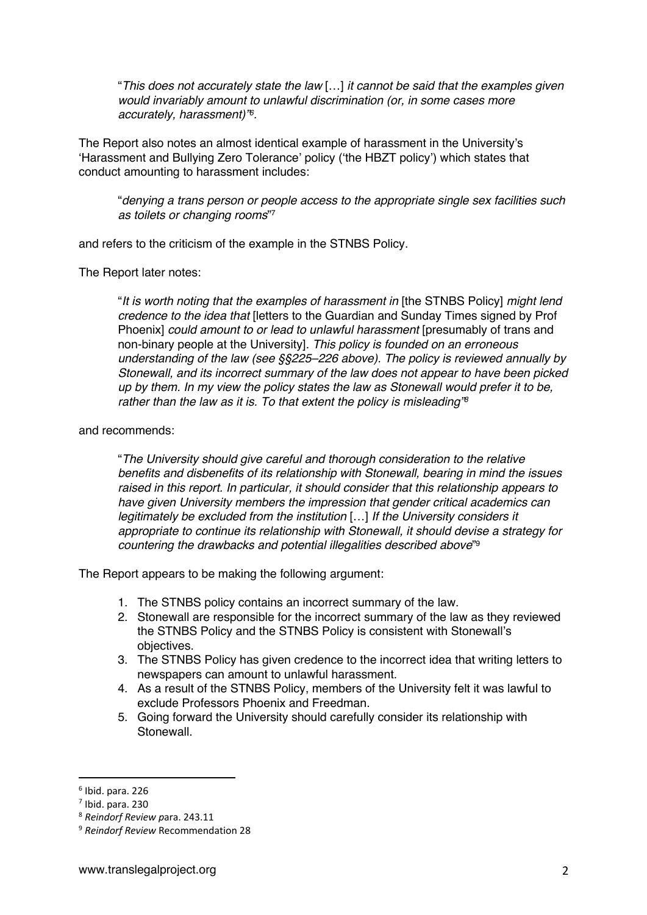"*This does not accurately state the law* […] *it cannot be said that the examples given would invariably amount to unlawful discrimination (or, in some cases more accurately, harassment)"6.*

The Report also notes an almost identical example of harassment in the University's 'Harassment and Bullying Zero Tolerance' policy ('the HBZT policy') which states that conduct amounting to harassment includes:

"*denying a trans person or people access to the appropriate single sex facilities such as toilets or changing rooms*"7

and refers to the criticism of the example in the STNBS Policy.

The Report later notes:

"*It is worth noting that the examples of harassment in* [the STNBS Policy] *might lend credence to the idea that* [letters to the Guardian and Sunday Times signed by Prof Phoenix] *could amount to or lead to unlawful harassment* [presumably of trans and non-binary people at the University]*. This policy is founded on an erroneous understanding of the law (see §§225–226 above). The policy is reviewed annually by Stonewall, and its incorrect summary of the law does not appear to have been picked up by them. In my view the policy states the law as Stonewall would prefer it to be, rather than the law as it is. To that extent the policy is misleading"8*

#### and recommends:

"*The University should give careful and thorough consideration to the relative benefits and disbenefits of its relationship with Stonewall, bearing in mind the issues raised in this report. In particular, it should consider that this relationship appears to have given University members the impression that gender critical academics can legitimately be excluded from the institution* […] *If the University considers it appropriate to continue its relationship with Stonewall, it should devise a strategy for countering the drawbacks and potential illegalities described above*"9

The Report appears to be making the following argument:

- 1. The STNBS policy contains an incorrect summary of the law.
- 2. Stonewall are responsible for the incorrect summary of the law as they reviewed the STNBS Policy and the STNBS Policy is consistent with Stonewall's objectives.
- 3. The STNBS Policy has given credence to the incorrect idea that writing letters to newspapers can amount to unlawful harassment.
- 4. As a result of the STNBS Policy, members of the University felt it was lawful to exclude Professors Phoenix and Freedman.
- 5. Going forward the University should carefully consider its relationship with Stonewall.

 $6$  Ibid. para. 226

 $<sup>7</sup>$  Ibid. para. 230</sup>

<sup>8</sup> *Reindorf Review p*ara. 243.11

<sup>9</sup> *Reindorf Review* Recommendation 28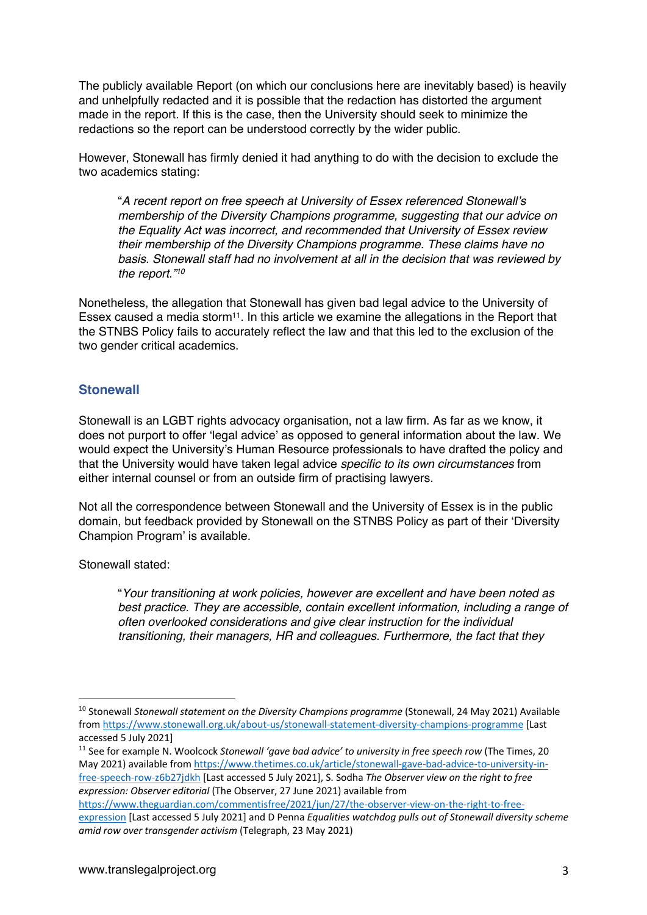The publicly available Report (on which our conclusions here are inevitably based) is heavily and unhelpfully redacted and it is possible that the redaction has distorted the argument made in the report. If this is the case, then the University should seek to minimize the redactions so the report can be understood correctly by the wider public.

However, Stonewall has firmly denied it had anything to do with the decision to exclude the two academics stating:

"*A recent report on free speech at University of Essex referenced Stonewall's membership of the Diversity Champions programme, suggesting that our advice on the Equality Act was incorrect, and recommended that University of Essex review their membership of the Diversity Champions programme. These claims have no basis. Stonewall staff had no involvement at all in the decision that was reviewed by the report."10*

Nonetheless, the allegation that Stonewall has given bad legal advice to the University of Essex caused a media storm<sup>11</sup>. In this article we examine the allegations in the Report that the STNBS Policy fails to accurately reflect the law and that this led to the exclusion of the two gender critical academics.

# **Stonewall**

Stonewall is an LGBT rights advocacy organisation, not a law firm. As far as we know, it does not purport to offer 'legal advice' as opposed to general information about the law. We would expect the University's Human Resource professionals to have drafted the policy and that the University would have taken legal advice *specific to its own circumstances* from either internal counsel or from an outside firm of practising lawyers.

Not all the correspondence between Stonewall and the University of Essex is in the public domain, but feedback provided by Stonewall on the STNBS Policy as part of their 'Diversity Champion Program' is available.

Stonewall stated:

"*Your transitioning at work policies, however are excellent and have been noted as best practice. They are accessible, contain excellent information, including a range of often overlooked considerations and give clear instruction for the individual transitioning, their managers, HR and colleagues. Furthermore, the fact that they* 

<sup>11</sup> See for example N. Woolcock *Stonewall 'gave bad advice' to university in free speech row* (The Times, 20 May 2021) available from https://www.thetimes.co.uk/article/stonewall-gave-bad-advice-to-university-infree-speech-row-z6b27jdkh [Last accessed 5 July 2021], S. Sodha *The Observer view on the right to free expression: Observer editorial* (The Observer, 27 June 2021) available from

https://www.theguardian.com/commentisfree/2021/jun/27/the-observer-view-on-the-right-to-freeexpression [Last accessed 5 July 2021] and D Penna *Equalities watchdog pulls out of Stonewall diversity scheme amid row over transgender activism* (Telegraph, 23 May 2021)

<sup>10</sup> Stonewall *Stonewall statement on the Diversity Champions programme* (Stonewall, 24 May 2021) Available from https://www.stonewall.org.uk/about-us/stonewall-statement-diversity-champions-programme [Last accessed 5 July 2021]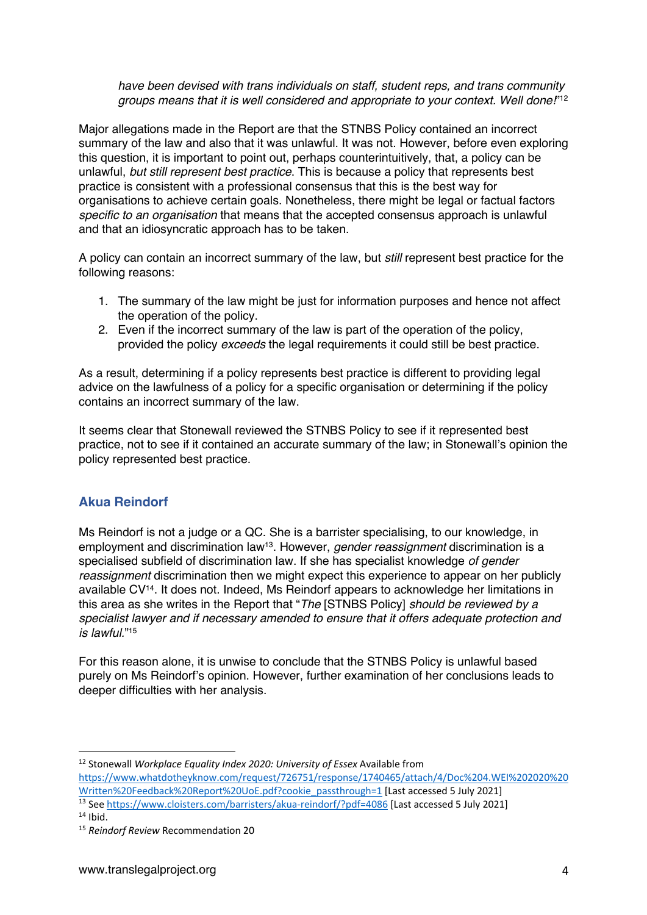*have been devised with trans individuals on staff, student reps, and trans community groups means that it is well considered and appropriate to your context. Well done!*"12

Major allegations made in the Report are that the STNBS Policy contained an incorrect summary of the law and also that it was unlawful. It was not. However, before even exploring this question, it is important to point out, perhaps counterintuitively, that, a policy can be unlawful, *but still represent best practice*. This is because a policy that represents best practice is consistent with a professional consensus that this is the best way for organisations to achieve certain goals. Nonetheless, there might be legal or factual factors *specific to an organisation* that means that the accepted consensus approach is unlawful and that an idiosyncratic approach has to be taken.

A policy can contain an incorrect summary of the law, but *still* represent best practice for the following reasons:

- 1. The summary of the law might be just for information purposes and hence not affect the operation of the policy.
- 2. Even if the incorrect summary of the law is part of the operation of the policy, provided the policy *exceeds* the legal requirements it could still be best practice.

As a result, determining if a policy represents best practice is different to providing legal advice on the lawfulness of a policy for a specific organisation or determining if the policy contains an incorrect summary of the law.

It seems clear that Stonewall reviewed the STNBS Policy to see if it represented best practice, not to see if it contained an accurate summary of the law; in Stonewall's opinion the policy represented best practice.

# **Akua Reindorf**

Ms Reindorf is not a judge or a QC. She is a barrister specialising, to our knowledge, in employment and discrimination law13. However, *gender reassignment* discrimination is a specialised subfield of discrimination law. If she has specialist knowledge *of gender reassignment* discrimination then we might expect this experience to appear on her publicly available CV14. It does not. Indeed, Ms Reindorf appears to acknowledge her limitations in this area as she writes in the Report that "*The* [STNBS Policy] *should be reviewed by a specialist lawyer and if necessary amended to ensure that it offers adequate protection and is lawful.*"15

For this reason alone, it is unwise to conclude that the STNBS Policy is unlawful based purely on Ms Reindorf's opinion. However, further examination of her conclusions leads to deeper difficulties with her analysis.

https://www.whatdotheyknow.com/request/726751/response/1740465/attach/4/Doc%204.WEI%202020%20 Written%20Feedback%20Report%20UoE.pdf?cookie\_passthrough=1 [Last accessed 5 July 2021]

<sup>12</sup> Stonewall *Workplace Equality Index 2020: University of Essex* Available from

<sup>13</sup> See https://www.cloisters.com/barristers/akua-reindorf/?pdf=4086 [Last accessed 5 July 2021]

 $14$  Ihid.

<sup>15</sup> *Reindorf Review* Recommendation 20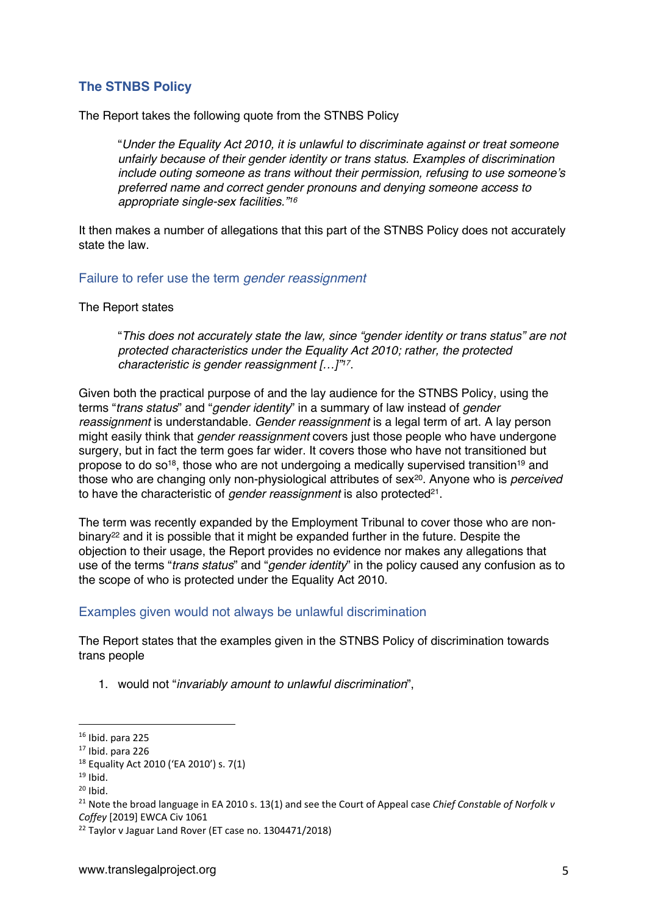# **The STNBS Policy**

The Report takes the following quote from the STNBS Policy

"*Under the Equality Act 2010, it is unlawful to discriminate against or treat someone unfairly because of their gender identity or trans status. Examples of discrimination include outing someone as trans without their permission, refusing to use someone's preferred name and correct gender pronouns and denying someone access to appropriate single-sex facilities."16*

It then makes a number of allegations that this part of the STNBS Policy does not accurately state the law.

#### Failure to refer use the term *gender reassignment*

The Report states

"*This does not accurately state the law, since "gender identity or trans status" are not protected characteristics under the Equality Act 2010; rather, the protected characteristic is gender reassignment […]"17.*

Given both the practical purpose of and the lay audience for the STNBS Policy, using the terms "*trans status*" and "*gender identity*" in a summary of law instead of *gender reassignment* is understandable. *Gender reassignment* is a legal term of art. A lay person might easily think that *gender reassignment* covers just those people who have undergone surgery, but in fact the term goes far wider. It covers those who have not transitioned but propose to do so<sup>18</sup>, those who are not undergoing a medically supervised transition<sup>19</sup> and those who are changing only non-physiological attributes of sex<sup>20</sup>. Anyone who is *perceived* to have the characteristic of *gender reassignment* is also protected<sup>21</sup>.

The term was recently expanded by the Employment Tribunal to cover those who are nonbinary<sup>22</sup> and it is possible that it might be expanded further in the future. Despite the objection to their usage, the Report provides no evidence nor makes any allegations that use of the terms "*trans status*" and "*gender identity*" in the policy caused any confusion as to the scope of who is protected under the Equality Act 2010.

#### Examples given would not always be unlawful discrimination

The Report states that the examples given in the STNBS Policy of discrimination towards trans people

1. would not "*invariably amount to unlawful discrimination*",

 $16$  Ibid. para 225

 $17$  Ibid. para 226

<sup>18</sup> Equality Act 2010 ('EA 2010') s. 7(1)

 $19$  Ibid.

 $20$  Ibid.

<sup>21</sup> Note the broad language in EA 2010 s. 13(1) and see the Court of Appeal case *Chief Constable of Norfolk v Coffey* [2019] EWCA Civ 1061

<sup>22</sup> Taylor v Jaguar Land Rover (ET case no. 1304471/2018)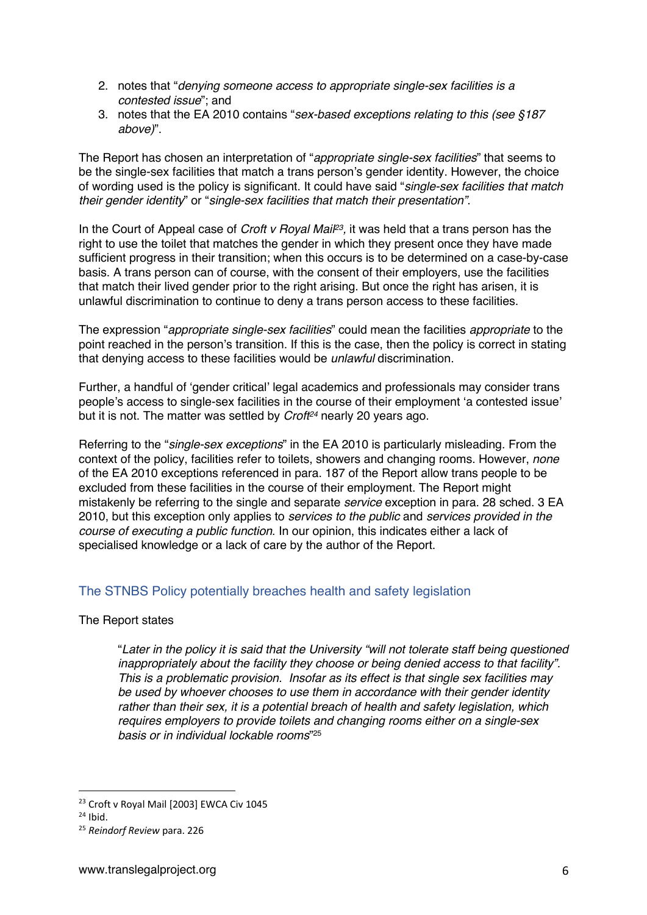- 2. notes that "*denying someone access to appropriate single-sex facilities is a contested issue*"; and
- 3. notes that the EA 2010 contains "*sex-based exceptions relating to this (see §187 above)*".

The Report has chosen an interpretation of "*appropriate single-sex facilities*" that seems to be the single-sex facilities that match a trans person's gender identity. However, the choice of wording used is the policy is significant. It could have said "*single-sex facilities that match their gender identity*" or "*single-sex facilities that match their presentation"*.

In the Court of Appeal case of *Croft v Royal Mail23,* it was held that a trans person has the right to use the toilet that matches the gender in which they present once they have made sufficient progress in their transition; when this occurs is to be determined on a case-by-case basis. A trans person can of course, with the consent of their employers, use the facilities that match their lived gender prior to the right arising. But once the right has arisen, it is unlawful discrimination to continue to deny a trans person access to these facilities.

The expression "*appropriate single-sex facilities*" could mean the facilities *appropriate* to the point reached in the person's transition. If this is the case, then the policy is correct in stating that denying access to these facilities would be *unlawful* discrimination.

Further, a handful of 'gender critical' legal academics and professionals may consider trans people's access to single-sex facilities in the course of their employment 'a contested issue' but it is not. The matter was settled by *Croft24* nearly 20 years ago.

Referring to the "*single-sex exceptions*" in the EA 2010 is particularly misleading. From the context of the policy, facilities refer to toilets, showers and changing rooms. However, *none* of the EA 2010 exceptions referenced in para. 187 of the Report allow trans people to be excluded from these facilities in the course of their employment. The Report might mistakenly be referring to the single and separate *service* exception in para. 28 sched. 3 EA 2010, but this exception only applies to *services to the public* and *services provided in the course of executing a public function*. In our opinion, this indicates either a lack of specialised knowledge or a lack of care by the author of the Report.

# The STNBS Policy potentially breaches health and safety legislation

The Report states

"*Later in the policy it is said that the University "will not tolerate staff being questioned inappropriately about the facility they choose or being denied access to that facility". This is a problematic provision. Insofar as its effect is that single sex facilities may be used by whoever chooses to use them in accordance with their gender identity rather than their sex, it is a potential breach of health and safety legislation, which requires employers to provide toilets and changing rooms either on a single-sex basis or in individual lockable rooms*"25

<sup>&</sup>lt;sup>23</sup> Croft v Royal Mail [2003] EWCA Civ 1045

 $24$  Ibid.

<sup>25</sup> *Reindorf Review* para. 226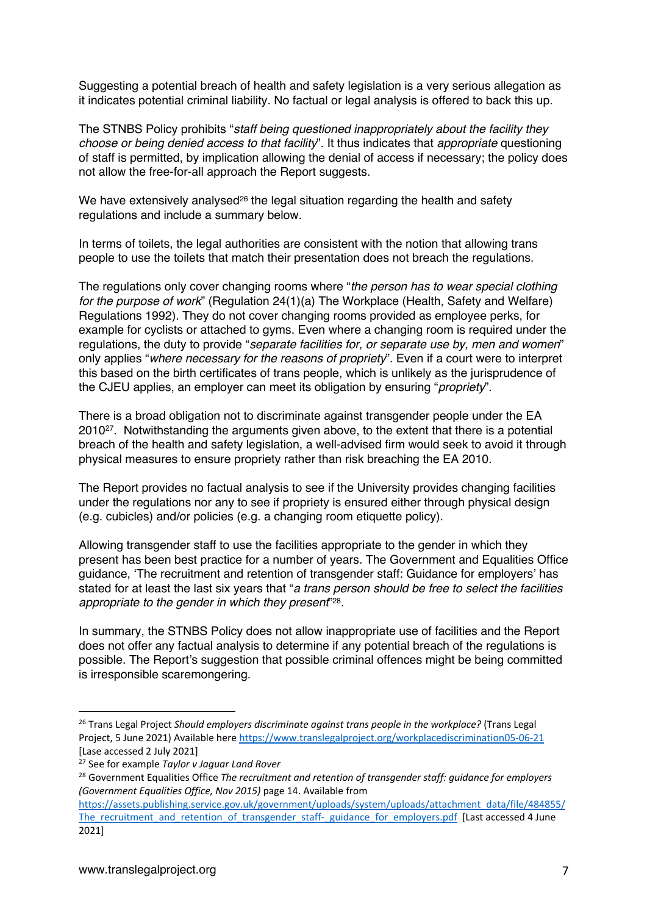Suggesting a potential breach of health and safety legislation is a very serious allegation as it indicates potential criminal liability. No factual or legal analysis is offered to back this up.

The STNBS Policy prohibits "*staff being questioned inappropriately about the facility they choose or being denied access to that facility*". It thus indicates that *appropriate* questioning of staff is permitted, by implication allowing the denial of access if necessary; the policy does not allow the free-for-all approach the Report suggests.

We have extensively analysed<sup>26</sup> the legal situation regarding the health and safety regulations and include a summary below.

In terms of toilets, the legal authorities are consistent with the notion that allowing trans people to use the toilets that match their presentation does not breach the regulations.

The regulations only cover changing rooms where "*the person has to wear special clothing for the purpose of work*" (Regulation 24(1)(a) The Workplace (Health, Safety and Welfare) Regulations 1992). They do not cover changing rooms provided as employee perks, for example for cyclists or attached to gyms. Even where a changing room is required under the regulations, the duty to provide "*separate facilities for, or separate use by, men and women*" only applies "*where necessary for the reasons of propriety*". Even if a court were to interpret this based on the birth certificates of trans people, which is unlikely as the jurisprudence of the CJEU applies, an employer can meet its obligation by ensuring "*propriety*".

There is a broad obligation not to discriminate against transgender people under the EA 201027. Notwithstanding the arguments given above, to the extent that there is a potential breach of the health and safety legislation, a well-advised firm would seek to avoid it through physical measures to ensure propriety rather than risk breaching the EA 2010.

The Report provides no factual analysis to see if the University provides changing facilities under the regulations nor any to see if propriety is ensured either through physical design (e.g. cubicles) and/or policies (e.g. a changing room etiquette policy).

Allowing transgender staff to use the facilities appropriate to the gender in which they present has been best practice for a number of years. The Government and Equalities Office guidance, 'The recruitment and retention of transgender staff: Guidance for employers' has stated for at least the last six years that "*a trans person should be free to select the facilities appropriate to the gender in which they present*"28.

In summary, the STNBS Policy does not allow inappropriate use of facilities and the Report does not offer any factual analysis to determine if any potential breach of the regulations is possible. The Report's suggestion that possible criminal offences might be being committed is irresponsible scaremongering.

<sup>26</sup> Trans Legal Project *Should employers discriminate against trans people in the workplace?* (Trans Legal Project, 5 June 2021) Available here https://www.translegalproject.org/workplacediscrimination05-06-21 [Lase accessed 2 July 2021]

<sup>27</sup> See for example *Taylor v Jaguar Land Rover*

<sup>28</sup> Government Equalities Office *The recruitment and retention of transgender staff: guidance for employers (Government Equalities Office, Nov 2015)* page 14. Available from

https://assets.publishing.service.gov.uk/government/uploads/system/uploads/attachment\_data/file/484855/ The recruitment and retention of transgender staff- guidance for employers.pdf [Last accessed 4 June 2021]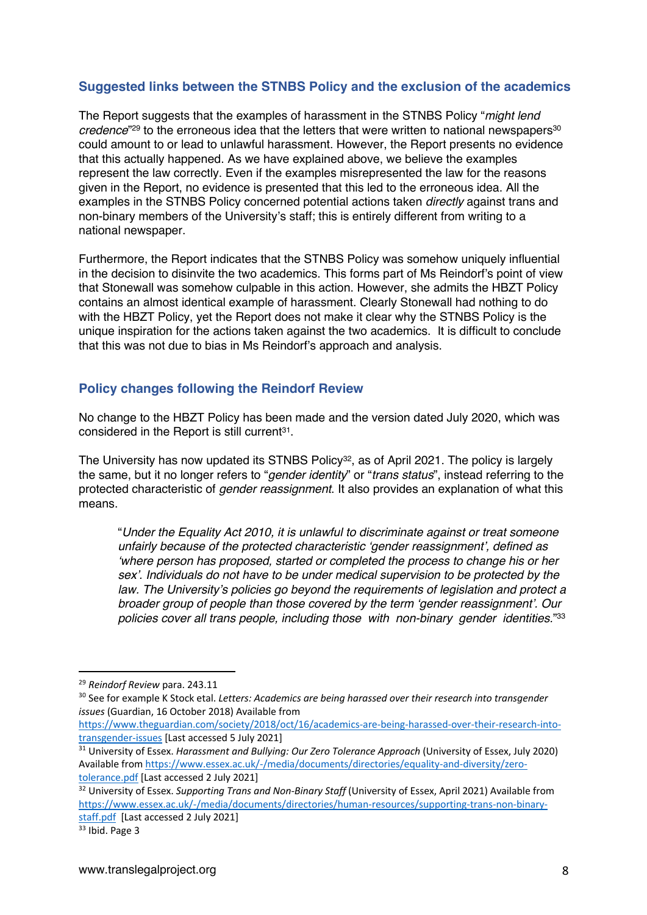# **Suggested links between the STNBS Policy and the exclusion of the academics**

The Report suggests that the examples of harassment in the STNBS Policy "*might lend*  credence<sup>"29</sup> to the erroneous idea that the letters that were written to national newspapers<sup>30</sup> could amount to or lead to unlawful harassment. However, the Report presents no evidence that this actually happened. As we have explained above, we believe the examples represent the law correctly. Even if the examples misrepresented the law for the reasons given in the Report, no evidence is presented that this led to the erroneous idea. All the examples in the STNBS Policy concerned potential actions taken *directly* against trans and non-binary members of the University's staff; this is entirely different from writing to a national newspaper.

Furthermore, the Report indicates that the STNBS Policy was somehow uniquely influential in the decision to disinvite the two academics. This forms part of Ms Reindorf's point of view that Stonewall was somehow culpable in this action. However, she admits the HBZT Policy contains an almost identical example of harassment. Clearly Stonewall had nothing to do with the HBZT Policy, yet the Report does not make it clear why the STNBS Policy is the unique inspiration for the actions taken against the two academics. It is difficult to conclude that this was not due to bias in Ms Reindorf's approach and analysis.

# **Policy changes following the Reindorf Review**

No change to the HBZT Policy has been made and the version dated July 2020, which was considered in the Report is still current<sup>31</sup>.

The University has now updated its STNBS Policy<sup>32</sup>, as of April 2021. The policy is largely the same, but it no longer refers to "*gender identity*" or "*trans status*", instead referring to the protected characteristic of *gender reassignment*. It also provides an explanation of what this means.

"*Under the Equality Act 2010, it is unlawful to discriminate against or treat someone unfairly because of the protected characteristic 'gender reassignment', defined as 'where person has proposed, started or completed the process to change his or her sex'. Individuals do not have to be under medical supervision to be protected by the law. The University's policies go beyond the requirements of legislation and protect a broader group of people than those covered by the term 'gender reassignment'. Our policies cover all trans people, including those with non-binary gender identities.*"33

<sup>29</sup> *Reindorf Review* para. 243.11

<sup>30</sup> See for example K Stock etal. *Letters: Academics are being harassed over their research into transgender issues* (Guardian, 16 October 2018) Available from

https://www.theguardian.com/society/2018/oct/16/academics-are-being-harassed-over-their-research-intotransgender-issues [Last accessed 5 July 2021]

<sup>31</sup> University of Essex. *Harassment and Bullying: Our Zero Tolerance Approach* (University of Essex, July 2020) Available from https://www.essex.ac.uk/-/media/documents/directories/equality-and-diversity/zerotolerance.pdf [Last accessed 2 July 2021]

<sup>32</sup> University of Essex. *Supporting Trans and Non-Binary Staff* (University of Essex, April 2021) Available from https://www.essex.ac.uk/-/media/documents/directories/human-resources/supporting-trans-non-binarystaff.pdf [Last accessed 2 July 2021]

<sup>33</sup> Ibid. Page 3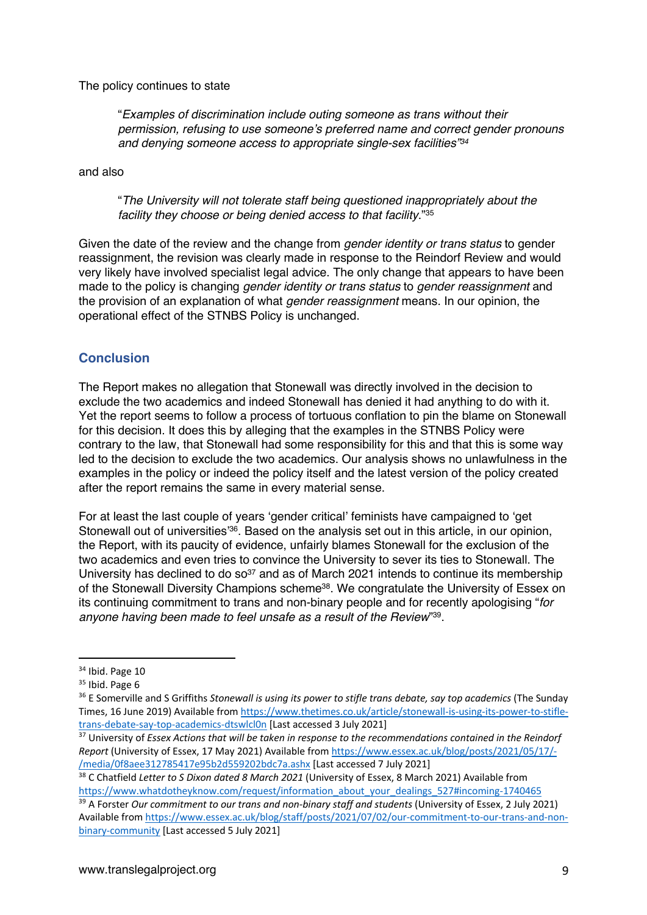The policy continues to state

"*Examples of discrimination include outing someone as trans without their permission, refusing to use someone's preferred name and correct gender pronouns and denying someone access to appropriate single-sex facilities"34*

and also

"*The University will not tolerate staff being questioned inappropriately about the facility they choose or being denied access to that facility*."35

Given the date of the review and the change from *gender identity or trans status* to gender reassignment, the revision was clearly made in response to the Reindorf Review and would very likely have involved specialist legal advice. The only change that appears to have been made to the policy is changing *gender identity or trans status* to *gender reassignment* and the provision of an explanation of what *gender reassignment* means. In our opinion, the operational effect of the STNBS Policy is unchanged.

# **Conclusion**

The Report makes no allegation that Stonewall was directly involved in the decision to exclude the two academics and indeed Stonewall has denied it had anything to do with it. Yet the report seems to follow a process of tortuous conflation to pin the blame on Stonewall for this decision. It does this by alleging that the examples in the STNBS Policy were contrary to the law, that Stonewall had some responsibility for this and that this is some way led to the decision to exclude the two academics. Our analysis shows no unlawfulness in the examples in the policy or indeed the policy itself and the latest version of the policy created after the report remains the same in every material sense.

For at least the last couple of years 'gender critical' feminists have campaigned to 'get Stonewall out of universities'<sup>36</sup>. Based on the analysis set out in this article, in our opinion, the Report, with its paucity of evidence, unfairly blames Stonewall for the exclusion of the two academics and even tries to convince the University to sever its ties to Stonewall. The University has declined to do so<sup>37</sup> and as of March 2021 intends to continue its membership of the Stonewall Diversity Champions scheme38. We congratulate the University of Essex on its continuing commitment to trans and non-binary people and for recently apologising "*for anyone having been made to feel unsafe as a result of the Review*"39.

<sup>38</sup> C Chatfield *Letter to S Dixon dated 8 March 2021* (University of Essex, 8 March 2021) Available from https://www.whatdotheyknow.com/request/information\_about\_your\_dealings\_527#incoming-1740465

<sup>&</sup>lt;sup>34</sup> Ibid. Page 10

 $35$  Ibid. Page 6

<sup>36</sup> E Somerville and S Griffiths *Stonewall is using its power to stifle trans debate, say top academics* (The Sunday Times, 16 June 2019) Available from https://www.thetimes.co.uk/article/stonewall-is-using-its-power-to-stifletrans-debate-say-top-academics-dtswlcl0n [Last accessed 3 July 2021]

<sup>37</sup> University of *Essex Actions that will be taken in response to the recommendations contained in the Reindorf Report* (University of Essex, 17 May 2021) Available from https://www.essex.ac.uk/blog/posts/2021/05/17/- /media/0f8aee312785417e95b2d559202bdc7a.ashx [Last accessed 7 July 2021]

<sup>39</sup> A Forster *Our commitment to our trans and non-binary staff and students* (University of Essex, 2 July 2021) Available from https://www.essex.ac.uk/blog/staff/posts/2021/07/02/our-commitment-to-our-trans-and-nonbinary-community [Last accessed 5 July 2021]